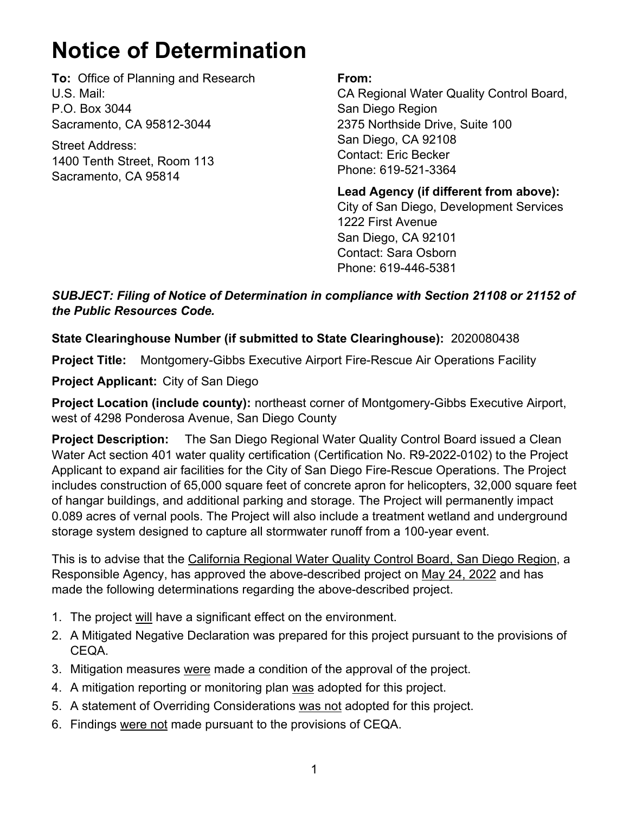## **Notice of Determination**

**To:** Office of Planning and Research U.S. Mail: P.O. Box 3044 Sacramento, CA 95812-3044

Street Address: 1400 Tenth Street, Room 113 Sacramento, CA 95814

## **From:**

CA Regional Water Quality Control Board, San Diego Region 2375 Northside Drive, Suite 100 San Diego, CA 92108 Contact: Eric Becker Phone: 619-521-3364

**Lead Agency (if different from above):** City of San Diego, Development Services 1222 First Avenue San Diego, CA 92101 Contact: Sara Osborn Phone: 619-446-5381

## *SUBJECT: Filing of Notice of Determination in compliance with Section 21108 or 21152 of the Public Resources Code.*

## **State Clearinghouse Number (if submitted to State Clearinghouse):** 2020080438

**Project Title:** Montgomery-Gibbs Executive Airport Fire-Rescue Air Operations Facility

**Project Applicant:** City of San Diego

**Project Location (include county):** northeast corner of Montgomery-Gibbs Executive Airport, west of 4298 Ponderosa Avenue, San Diego County

**Project Description:** The San Diego Regional Water Quality Control Board issued a Clean Water Act section 401 water quality certification (Certification No. R9-2022-0102) to the Project Applicant to expand air facilities for the City of San Diego Fire-Rescue Operations. The Project includes construction of 65,000 square feet of concrete apron for helicopters, 32,000 square feet of hangar buildings, and additional parking and storage. The Project will permanently impact 0.089 acres of vernal pools. The Project will also include a treatment wetland and underground storage system designed to capture all stormwater runoff from a 100-year event.

This is to advise that the California Regional Water Quality Control Board, San Diego Region, a Responsible Agency, has approved the above-described project on May 24, 2022 and has made the following determinations regarding the above-described project.

- 1. The project will have a significant effect on the environment.
- 2. A Mitigated Negative Declaration was prepared for this project pursuant to the provisions of CEQA.
- 3. Mitigation measures were made a condition of the approval of the project.
- 4. A mitigation reporting or monitoring plan was adopted for this project.
- 5. A statement of Overriding Considerations was not adopted for this project.
- 6. Findings were not made pursuant to the provisions of CEQA.